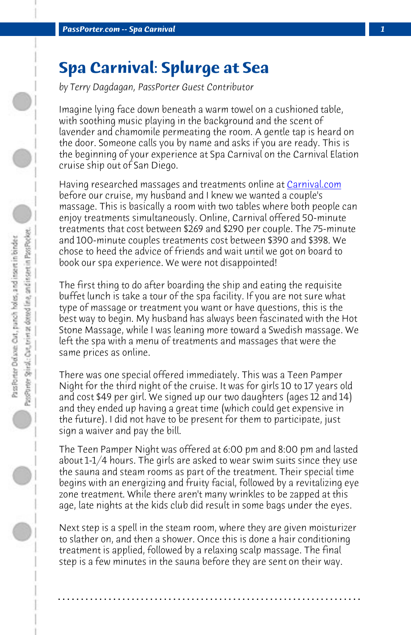*PassPorter.com -- Spa Carnival 1*

## **Spa Carnival: Splurge at Sea**

*by Terry Dagdagan, PassPorter Guest Contributor*

Imagine lying face down beneath a warm towel on a cushioned table, with soothing music playing in the background and the scent of lavender and chamomile permeating the room. A gentle tap is heard on the door. Someone calls you by name and asks if you are ready. This is the beginning of your experience at Spa Carnival on the Carnival Elation cruise ship out of San Diego.

Having researched massages and treatments online at Carnival.com before our cruise, my husband and I knew we wanted a couple's massage. This is basically a room with two tables where both people can enjoy treatments simultaneously. Online, Carnival offered 50-minute treatments that cost between \$269 and \$290 per couple. The 75-minute and 100-minute couples treatments cost between \$390 and \$398. We chose to heed the advice of friends and wait until we got on board to book our spa experience. We were not disappointed!

The first thing to do after boarding the ship and eating the requisite buffet lunch is take a tour of the spa facility. If you are not sure what type of massage or treatment you want or have questions, this is the best way to begin. My husband has always been fascinated with the Hot Stone Massage, while I was leaning more toward a Swedish massage. We left the spa with a menu of treatments and massages that were the same prices as online.

There was one special offered immediately. This was a Teen Pamper Night for the third night of the cruise. It was for girls 10 to 17 years old and cost \$49 per girl. We signed up our two daughters (ages 12 and 14) and they ended up having a great time (which could get expensive in the future). I did not have to be present for them to participate, just sign a waiver and pay the bill.

The Teen Pamper Night was offered at 6:00 pm and 8:00 pm and lasted about 1-1/4 hours. The girls are asked to wear swim suits since they use the sauna and steam rooms as part of the treatment. Their special time begins with an energizing and fruity facial, followed by a revitalizing eye zone treatment. While there aren't many wrinkles to be zapped at this age, late nights at the kids club did result in some bags under the eyes.

Next step is a spell in the steam room, where they are given moisturizer to slather on, and then a shower. Once this is done a hair conditioning treatment is applied, followed by a relaxing scalp massage. The final step is a few minutes in the sauna before they are sent on their way.

**. . . . . . . . . . . . . . . . . . . . . . . . . . . . . . . . . . . . . . . . . . . . . . . . . . . . . . . . . . . . . . . . . .**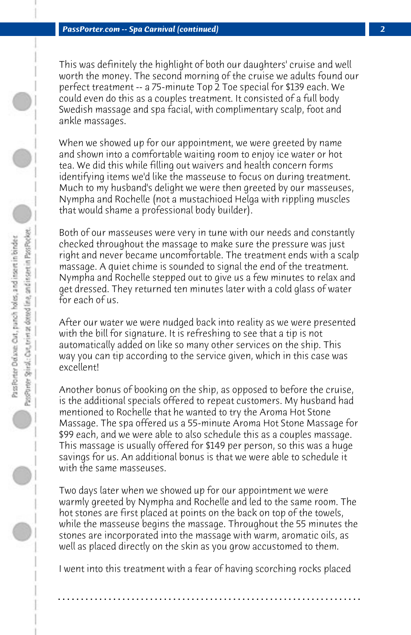This was definitely the highlight of both our daughters' cruise and well worth the money. The second morning of the cruise we adults found our perfect treatment -- a 75-minute Top 2 Toe special for \$139 each. We could even do this as a couples treatment. It consisted of a full body Swedish massage and spa facial, with complimentary scalp, foot and ankle massages.

When we showed up for our appointment, we were greeted by name and shown into a comfortable waiting room to enjoy ice water or hot tea. We did this while filling out waivers and health concern forms identifying items we'd like the masseuse to focus on during treatment. Much to my husband's delight we were then greeted by our masseuses, Nympha and Rochelle (not a mustachioed Helga with rippling muscles that would shame a professional body builder).

Both of our masseuses were very in tune with our needs and constantly checked throughout the massage to make sure the pressure was just right and never became uncomfortable. The treatment ends with a scalp massage. A quiet chime is sounded to signal the end of the treatment. Nympha and Rochelle stepped out to give us a few minutes to relax and get dressed. They returned ten minutes later with a cold glass of water for each of us.

After our water we were nudged back into reality as we were presented with the bill for signature. It is refreshing to see that a tip is not automatically added on like so many other services on the ship. This way you can tip according to the service given, which in this case was excellent!

Another bonus of booking on the ship, as opposed to before the cruise, is the additional specials offered to repeat customers. My husband had mentioned to Rochelle that he wanted to try the Aroma Hot Stone Massage. The spa offered us a 55-minute Aroma Hot Stone Massage for \$99 each, and we were able to also schedule this as a couples massage. This massage is usually offered for \$149 per person, so this was a huge savings for us. An additional bonus is that we were able to schedule it with the same masseuses.

Two days later when we showed up for our appointment we were warmly greeted by Nympha and Rochelle and led to the same room. The hot stones are first placed at points on the back on top of the towels, while the masseuse begins the massage. Throughout the 55 minutes the stones are incorporated into the massage with warm, aromatic oils, as well as placed directly on the skin as you grow accustomed to them.

I went into this treatment with a fear of having scorching rocks placed

**. . . . . . . . . . . . . . . . . . . . . . . . . . . . . . . . . . . . . . . . . . . . . . . . . . . . . . . . . . . . . . . . . .**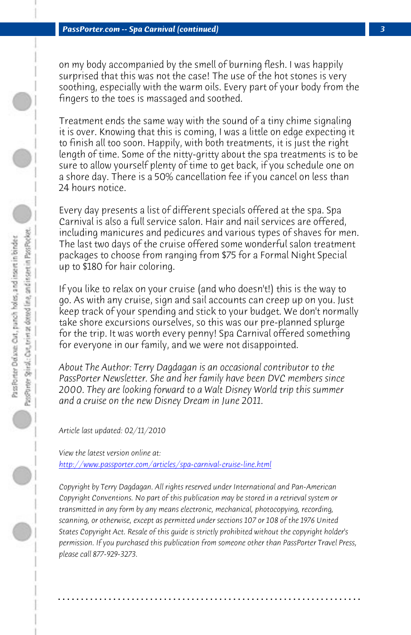on my body accompanied by the smell of burning flesh. I was happily surprised that this was not the case! The use of the hot stones is very soothing, especially with the warm oils. Every part of your body from the fingers to the toes is massaged and soothed.

Treatment ends the same way with the sound of a tiny chime signaling it is over. Knowing that this is coming, I was a little on edge expecting it to finish all too soon. Happily, with both treatments, it is just the right length of time. Some of the nitty-gritty about the spa treatments is to be sure to allow yourself plenty of time to get back, if you schedule one on a shore day. There is a 50% cancellation fee if you cancel on less than 24 hours notice.

Every day presents a list of different specials offered at the spa. Spa Carnival is also a full service salon. Hair and nail services are offered, including manicures and pedicures and various types of shaves for men. The last two days of the cruise offered some wonderful salon treatment packages to choose from ranging from \$75 for a Formal Night Special up to \$180 for hair coloring.

If you like to relax on your cruise (and who doesn't!) this is the way to go. As with any cruise, sign and sail accounts can creep up on you. Just keep track of your spending and stick to your budget. We don't normally take shore excursions ourselves, so this was our pre-planned splurge for the trip. It was worth every penny! Spa Carnival offered something for everyone in our family, and we were not disappointed.

*About The Author: Terry Dagdagan is an occasional contributor to the PassPorter Newsletter. She and her family have been DVC members since 2000. They are looking forward to a Walt Disney World trip this summer and a cruise on the new Disney Dream in June 2011.*

*Article last updated: 02/11/2010*

*View the latest version online at: http://www.passporter.com/articles/spa-carnival-cruise-line.html*

*Copyright by Terry Dagdagan. All rights reserved under International and Pan-American Copyright Conventions. No part of this publication may be stored in a retrieval system or transmitted in any form by any means electronic, mechanical, photocopying, recording, scanning, or otherwise, except as permitted under sections 107 or 108 of the 1976 United States Copyright Act. Resale of this guide is strictly prohibited without the copyright holder's permission. If you purchased this publication from someone other than PassPorter Travel Press, please call 877-929-3273.*

**. . . . . . . . . . . . . . . . . . . . . . . . . . . . . . . . . . . . . . . . . . . . . . . . . . . . . . . . . . . . . . . . . .**